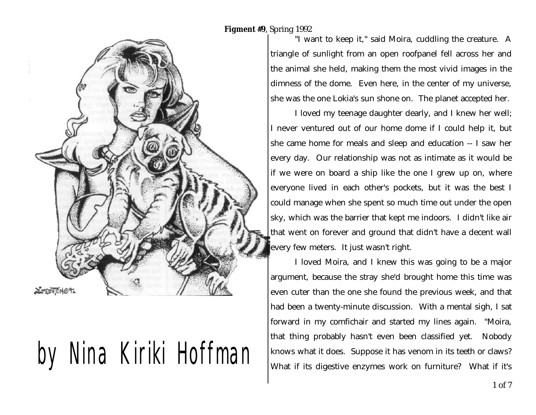**Figment #9**, Spring 1992



SIMUNION@92

# by Nina Kiriki Hoffman

"I want to keep it," said Moira, cuddling the creature. A triangle of sunlight from an open roofpanel fell across her and the animal she held, making them the most vivid images in the dimness of the dome. Even here, in the center of my universe, she was the one Lokia's sun shone on. The planet accepted her.

I loved my teenage daughter dearly, and I knew her well; I never ventured out of our home dome if I could help it, but she came home for meals and sleep and education -- I saw her every day. Our relationship was not as intimate as it would be if we were on board a ship like the one I grew up on, where everyone lived in each other's pockets, but it was the best I could manage when she spent so much time out under the open sky, which was the barrier that kept me indoors. I didn't like air that went on forever and ground that didn't have a decent wall every few meters. It just wasn't right.

I loved Moira, and I knew this was going to be a major argument, because the stray she'd brought home this time was even cuter than the one she found the previous week, and that had been a twenty-minute discussion. With a mental sigh, I sat forward in my comfichair and started my lines again. "Moira, that thing probably hasn't even been classified yet. Nobody knows what it does. Suppose it has venom in its teeth or claws? What if its digestive enzymes work on furniture? What if it's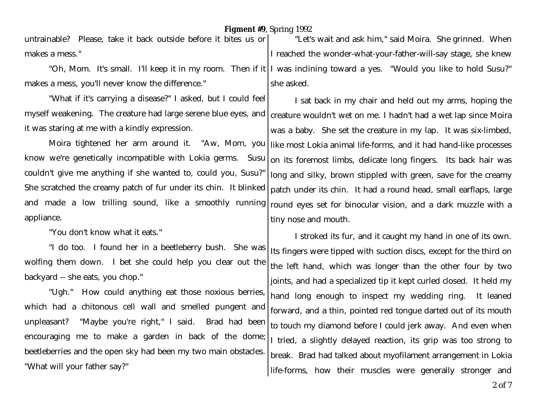untrainable? Please, take it back outside before it bites us or makes a mess."

makes a mess, you'll never know the difference."

"What if it's carrying a disease?" I asked, but I could feel myself weakening. The creature had large serene blue eyes, and it was staring at me with a kindly expression.

Moira tightened her arm around it. "Aw, Mom, you know we're genetically incompatible with Lokia germs. Susu couldn't give me anything if she wanted to, could you, Susu?" She scratched the creamy patch of fur under its chin. It blinked and made a low trilling sound, like a smoothly running appliance.

"You don't know what it eats."

"I do too. I found her in a beetleberry bush. She was wolfing them down. I bet she could help you clear out the backyard -- she eats, you chop."

"Ugh." How could anything eat those noxious berries, which had a chitonous cell wall and smelled pungent and unpleasant? "Maybe you're right," I said. Brad had been encouraging me to make a garden in back of the dome; beetleberries and the open sky had been my two main obstacles. "What will your father say?"

"Oh, Mom. It's small. I'll keep it in my room. Then if it|I was inclining toward a yes. "Would you like to hold Susu?" "Let's wait and ask him," said Moira. She grinned. When I reached the wonder-what-your-father-will-say stage, she knew she asked.

> I sat back in my chair and held out my arms, hoping the creature wouldn't wet on me. I hadn't had a wet lap since Moira was a baby. She set the creature in my lap. It was six-limbed, like most Lokia animal life-forms, and it had hand-like processes on its foremost limbs, delicate long fingers. Its back hair was long and silky, brown stippled with green, save for the creamy patch under its chin. It had a round head, small earflaps, large round eyes set for binocular vision, and a dark muzzle with a tiny nose and mouth.

> I stroked its fur, and it caught my hand in one of its own. Its fingers were tipped with suction discs, except for the third on the left hand, which was longer than the other four by two joints, and had a specialized tip it kept curled closed. It held my hand long enough to inspect my wedding ring. It leaned forward, and a thin, pointed red tongue darted out of its mouth to touch my diamond before I could jerk away. And even when I tried, a slightly delayed reaction, its grip was too strong to break. Brad had talked about myofilament arrangement in Lokia life-forms, how their muscles were generally stronger and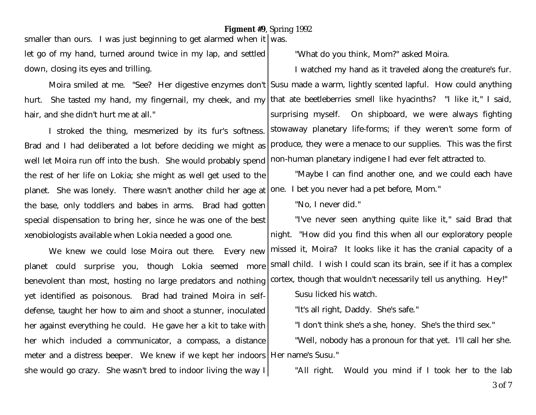smaller than ours. I was just beginning to get alarmed when it was.

let go of my hand, turned around twice in my lap, and settled down, closing its eyes and trilling.

hurt. She tasted my hand, my fingernail, my cheek, and my hair, and she didn't hurt me at all."

I stroked the thing, mesmerized by its fur's softness. Brad and I had deliberated a lot before deciding we might as well let Moira run off into the bush. She would probably spend the rest of her life on Lokia; she might as well get used to the planet. She was lonely. There wasn't another child her age at the base, only toddlers and babes in arms. Brad had gotten special dispensation to bring her, since he was one of the best xenobiologists available when Lokia needed a good one.

We knew we could lose Moira out there. Every new planet could surprise you, though Lokia seemed more benevolent than most, hosting no large predators and nothing yet identified as poisonous. Brad had trained Moira in selfdefense, taught her how to aim and shoot a stunner, inoculated her against everything he could. He gave her a kit to take with her which included a communicator, a compass, a distance meter and a distress beeper. We knew if we kept her indoors Her name's Susu."

she would go crazy. She wasn't bred to indoor living the way I

"What do you think, Mom?" asked Moira.

Moira smiled at me. "See? Her digestive enzymes don't Susu made a warm, lightly scented lapful. How could anything I watched my hand as it traveled along the creature's fur. that ate beetleberries smell like hyacinths? "I like it," I said, surprising myself. On shipboard, we were always fighting stowaway planetary life-forms; if they weren't some form of produce, they were a menace to our supplies. This was the first non-human planetary indigene I had ever felt attracted to.

> "Maybe I can find another one, and we could each have one. I bet you never had a pet before, Mom."

> > "No, I never did."

"I've never seen anything quite like it," said Brad that night. "How did you find this when all our exploratory people missed it, Moira? It looks like it has the cranial capacity of a small child. I wish I could scan its brain, see if it has a complex cortex, though that wouldn't necessarily tell us anything. Hey!"

Susu licked his watch.

"It's all right, Daddy. She's safe."

"I don't think she's a she, honey. She's the third sex."

"Well, nobody has a pronoun for that yet. I'll call her she.

"All right. Would you mind if I took her to the lab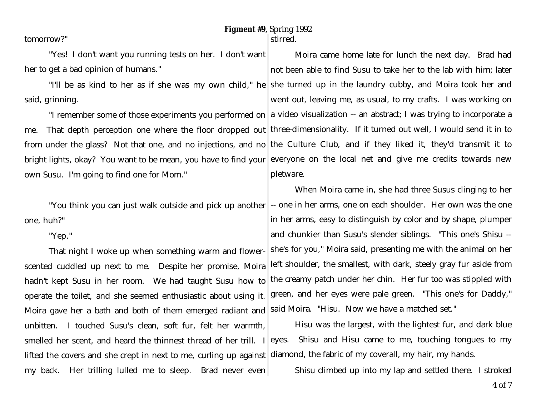### **Figment #9**, Spring 1992 stirred.

#### tomorrow?"

"Yes! I don't want you running tests on her. I don't want her to get a bad opinion of humans."

said, grinning.

me. That depth perception one where the floor dropped out from under the glass? Not that one, and no injections, and no bright lights, okay? You want to be mean, you have to find your own Susu. I'm going to find one for Mom."

"You think you can just walk outside and pick up another one, huh?"

"Yep."

That night I woke up when something warm and flowerscented cuddled up next to me. Despite her promise, Moira hadn't kept Susu in her room. We had taught Susu how to operate the toilet, and she seemed enthusiastic about using it. Moira gave her a bath and both of them emerged radiant and unbitten. I touched Susu's clean, soft fur, felt her warmth, smelled her scent, and heard the thinnest thread of her trill. lifted the covers and she crept in next to me, curling up against my back. Her trilling lulled me to sleep. Brad never even

"I'll be as kind to her as if she was my own child," he she turned up in the laundry cubby, and Moira took her and "I remember some of those experiments you performed on |a video visualization -- an abstract; I was trying to incorporate a Moira came home late for lunch the next day. Brad had not been able to find Susu to take her to the lab with him; later went out, leaving me, as usual, to my crafts. I was working on three-dimensionality. If it turned out well, I would send it in to the Culture Club, and if they liked it, they'd transmit it to everyone on the local net and give me credits towards new pletware.

> When Moira came in, she had three Susus clinging to her -- one in her arms, one on each shoulder. Her own was the one in her arms, easy to distinguish by color and by shape, plumper and chunkier than Susu's slender siblings. "This one's Shisu - she's for you," Moira said, presenting me with the animal on her left shoulder, the smallest, with dark, steely gray fur aside from the creamy patch under her chin. Her fur too was stippled with green, and her eyes were pale green. "This one's for Daddy," said Moira. "Hisu. Now we have a matched set."

> Hisu was the largest, with the lightest fur, and dark blue eyes. Shisu and Hisu came to me, touching tongues to my diamond, the fabric of my coverall, my hair, my hands.

Shisu climbed up into my lap and settled there. I stroked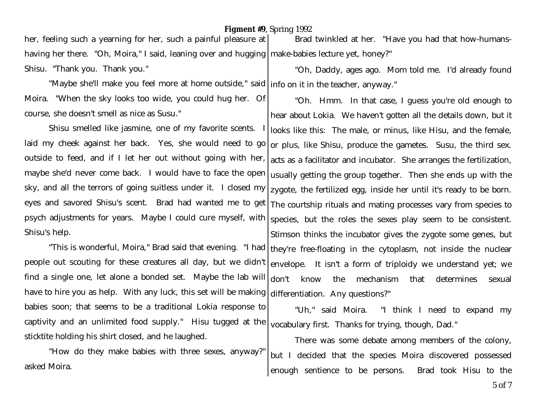## **Figment #9**, Spring 1992

her, feeling such a yearning for her, such a painful pleasure at having her there. "Oh, Moira," I said, leaning over and hugging make-babies lecture yet, honey?" Shisu. "Thank you. Thank you." Brad twinkled at her. "Have you had that how-humans-

"Maybe she'll make you feel more at home outside," said | info on it in the teacher, anyway." Moira. "When the sky looks too wide, you could hug her. Of course, she doesn't smell as nice as Susu."

Shisu smelled like jasmine, one of my favorite scents. laid my cheek against her back. Yes, she would need to go outside to feed, and if I let her out without going with her, maybe she'd never come back. I would have to face the open sky, and all the terrors of going suitless under it. I closed my eyes and savored Shisu's scent. Brad had wanted me to get psych adjustments for years. Maybe I could cure myself, with Shisu's help.

"This is wonderful, Moira," Brad said that evening. "I had people out scouting for these creatures all day, but we didn't find a single one, let alone a bonded set. Maybe the lab will have to hire you as help. With any luck, this set will be making babies soon; that seems to be a traditional Lokia response to captivity and an unlimited food supply." Hisu tugged at the sticktite holding his shirt closed, and he laughed.

"How do they make babies with three sexes, anyway?" asked Moira.

"Oh, Daddy, ages ago. Mom told me. I'd already found

"Oh. Hmm. In that case, I guess you're old enough to hear about Lokia. We haven't gotten all the details down, but it looks like this: The male, or minus, like Hisu, and the female, or plus, like Shisu, produce the gametes. Susu, the third sex. acts as a facilitator and incubator. She arranges the fertilization, usually getting the group together. Then she ends up with the zygote, the fertilized egg, inside her until it's ready to be born. The courtship rituals and mating processes vary from species to species, but the roles the sexes play seem to be consistent. Stimson thinks the incubator gives the zygote some genes, but they're free-floating in the cytoplasm, not inside the nuclear envelope. It isn't a form of triploidy we understand yet; we don't know the mechanism that determines sexual differentiation. Any questions?"

"Uh," said Moira. "I think I need to expand my vocabulary first. Thanks for trying, though, Dad."

There was some debate among members of the colony, but I decided that the species Moira discovered possessed enough sentience to be persons. Brad took Hisu to the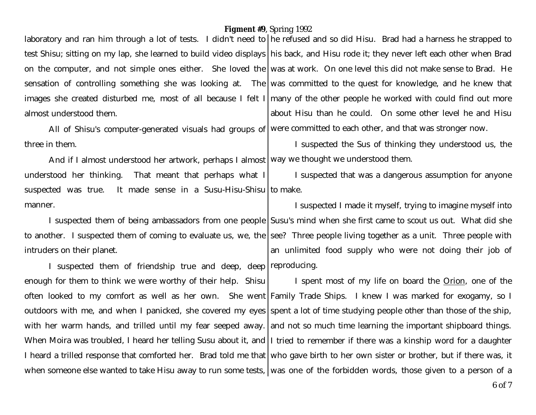## **Figment #9**, Spring 1992

laboratory and ran him through a lot of tests. I didn't need to he refused and so did Hisu. Brad had a harness he strapped to test Shisu; sitting on my lap, she learned to build video displays his back, and Hisu rode it; they never left each other when Brad on the computer, and not simple ones either. She loved the was at work. On one level this did not make sense to Brad. He sensation of controlling something she was looking at. The was committed to the quest for knowledge, and he knew that images she created disturbed me, most of all because I felt I many of the other people he worked with could find out more almost understood them. about Hisu than he could. On some other level he and Hisu

All of Shisu's computer-generated visuals had groups of were committed to each other, and that was stronger now. three in them. I suspected the Sus of thinking they understood us, the

And if I almost understood her artwork, perhaps I almost way we thought we understood them. understood her thinking. That meant that perhaps what I suspected was true. It made sense in a Susu-Hisu-Shisu to make. manner. I suspected that was a dangerous assumption for anyone I suspected I made it myself, trying to imagine myself into

I suspected them of being ambassadors from one people Susu's mind when she first came to scout us out. What did she to another. I suspected them of coming to evaluate us, we, the see? Three people living together as a unit. Three people with intruders on their planet. an unlimited food supply who were not doing their job of

I suspected them of friendship true and deep, deep reproducing. enough for them to think we were worthy of their help. Shisu often looked to my comfort as well as her own. She went Family Trade Ships. I knew I was marked for exogamy, so I outdoors with me, and when I panicked, she covered my eyes spent a lot of time studying people other than those of the ship, with her warm hands, and trilled until my fear seeped away. and not so much time learning the important shipboard things. When Moira was troubled, I heard her telling Susu about it, and | I tried to remember if there was a kinship word for a daughter I heard a trilled response that comforted her. Brad told me that who gave birth to her own sister or brother, but if there was, it when someone else wanted to take Hisu away to run some tests, |was one of the forbidden words, those given to a person of a I spent most of my life on board the **Orion**, one of the